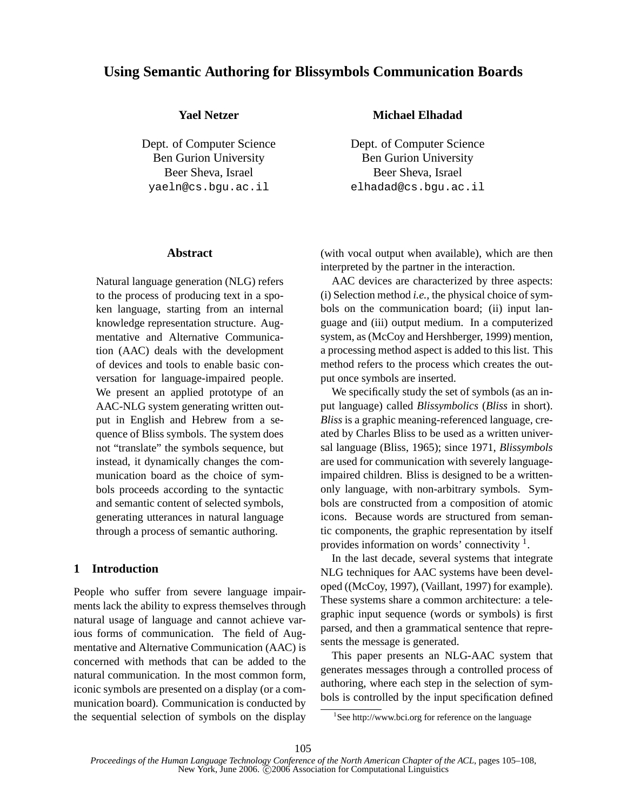# **Using Semantic Authoring for Blissymbols Communication Boards**

## **Yael Netzer**

Dept. of Computer Science Ben Gurion University Beer Sheva, Israel yaeln@cs.bgu.ac.il

#### **Abstract**

Natural language generation (NLG) refers to the process of producing text in a spoken language, starting from an internal knowledge representation structure. Augmentative and Alternative Communication (AAC) deals with the development of devices and tools to enable basic conversation for language-impaired people. We present an applied prototype of an AAC-NLG system generating written output in English and Hebrew from a sequence of Bliss symbols. The system does not "translate" the symbols sequence, but instead, it dynamically changes the communication board as the choice of symbols proceeds according to the syntactic and semantic content of selected symbols, generating utterances in natural language through a process of semantic authoring.

# **1 Introduction**

People who suffer from severe language impairments lack the ability to express themselves through natural usage of language and cannot achieve various forms of communication. The field of Augmentative and Alternative Communication (AAC) is concerned with methods that can be added to the natural communication. In the most common form, iconic symbols are presented on a display (or a communication board). Communication is conducted by the sequential selection of symbols on the display

### **Michael Elhadad**

Dept. of Computer Science Ben Gurion University Beer Sheva, Israel elhadad@cs.bgu.ac.il

(with vocal output when available), which are then interpreted by the partner in the interaction.

AAC devices are characterized by three aspects: (i) Selection method *i.e.,* the physical choice of symbols on the communication board; (ii) input language and (iii) output medium. In a computerized system, as (McCoy and Hershberger, 1999) mention, a processing method aspect is added to this list. This method refers to the process which creates the output once symbols are inserted.

We specifically study the set of symbols (as an input language) called *Blissymbolics* (*Bliss* in short). *Bliss* is a graphic meaning-referenced language, created by Charles Bliss to be used as a written universal language (Bliss, 1965); since 1971, *Blissymbols* are used for communication with severely languageimpaired children. Bliss is designed to be a writtenonly language, with non-arbitrary symbols. Symbols are constructed from a composition of atomic icons. Because words are structured from semantic components, the graphic representation by itself provides information on words' connectivity  $<sup>1</sup>$ .</sup>

In the last decade, several systems that integrate NLG techniques for AAC systems have been developed ((McCoy, 1997), (Vaillant, 1997) for example). These systems share a common architecture: a telegraphic input sequence (words or symbols) is first parsed, and then a grammatical sentence that represents the message is generated.

This paper presents an NLG-AAC system that generates messages through a controlled process of authoring, where each step in the selection of symbols is controlled by the input specification defined

<sup>&</sup>lt;sup>1</sup>See http://www.bci.org for reference on the language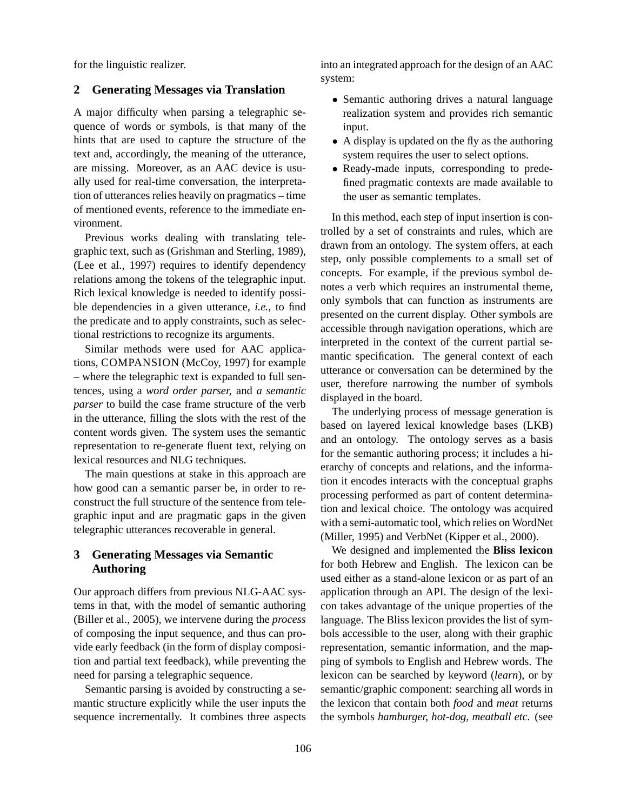for the linguistic realizer.

## **2 Generating Messages via Translation**

A major difficulty when parsing a telegraphic sequence of words or symbols, is that many of the hints that are used to capture the structure of the text and, accordingly, the meaning of the utterance, are missing. Moreover, as an AAC device is usually used for real-time conversation, the interpretation of utterances relies heavily on pragmatics – time of mentioned events, reference to the immediate environment.

Previous works dealing with translating telegraphic text, such as (Grishman and Sterling, 1989), (Lee et al., 1997) requires to identify dependency relations among the tokens of the telegraphic input. Rich lexical knowledge is needed to identify possible dependencies in a given utterance, *i.e.*, to find the predicate and to apply constraints, such as selectional restrictions to recognize its arguments.

Similar methods were used for AAC applications, COMPANSION (McCoy, 1997) for example – where the telegraphic text is expanded to full sentences, using a *word order parser,* and *a semantic parser* to build the case frame structure of the verb in the utterance, filling the slots with the rest of the content words given. The system uses the semantic representation to re-generate fluent text, relying on lexical resources and NLG techniques.

The main questions at stake in this approach are how good can a semantic parser be, in order to reconstruct the full structure of the sentence from telegraphic input and are pragmatic gaps in the given telegraphic utterances recoverable in general.

## **3 Generating Messages via Semantic Authoring**

Our approach differs from previous NLG-AAC systems in that, with the model of semantic authoring (Biller et al., 2005), we intervene during the *process* of composing the input sequence, and thus can provide early feedback (in the form of display composition and partial text feedback), while preventing the need for parsing a telegraphic sequence.

Semantic parsing is avoided by constructing a semantic structure explicitly while the user inputs the sequence incrementally. It combines three aspects into an integrated approach for the design of an AAC system:

- Semantic authoring drives a natural language realization system and provides rich semantic input.
- A display is updated on the fly as the authoring system requires the user to select options.
- Ready-made inputs, corresponding to predefined pragmatic contexts are made available to the user as semantic templates.

In this method, each step of input insertion is controlled by a set of constraints and rules, which are drawn from an ontology. The system offers, at each step, only possible complements to a small set of concepts. For example, if the previous symbol denotes a verb which requires an instrumental theme, only symbols that can function as instruments are presented on the current display. Other symbols are accessible through navigation operations, which are interpreted in the context of the current partial semantic specification. The general context of each utterance or conversation can be determined by the user, therefore narrowing the number of symbols displayed in the board.

The underlying process of message generation is based on layered lexical knowledge bases (LKB) and an ontology. The ontology serves as a basis for the semantic authoring process; it includes a hierarchy of concepts and relations, and the information it encodes interacts with the conceptual graphs processing performed as part of content determination and lexical choice. The ontology was acquired with a semi-automatic tool, which relies on WordNet (Miller, 1995) and VerbNet (Kipper et al., 2000).

We designed and implemented the **Bliss lexicon** for both Hebrew and English. The lexicon can be used either as a stand-alone lexicon or as part of an application through an API. The design of the lexicon takes advantage of the unique properties of the language. The Bliss lexicon provides the list of symbols accessible to the user, along with their graphic representation, semantic information, and the mapping of symbols to English and Hebrew words. The lexicon can be searched by keyword (*learn*), or by semantic/graphic component: searching all words in the lexicon that contain both *food* and *meat* returns the symbols *hamburger, hot-dog, meatball etc.* (see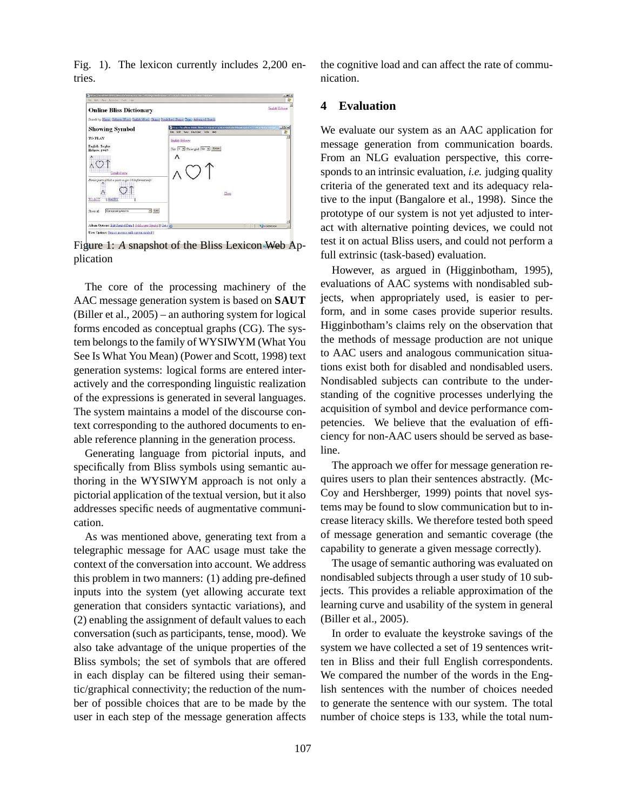Fig. 1). The lexicon currently includes 2,200 entries.



Figure 1: *A* snapshot of the Bliss Lexicon Web Application

The core of the processing machinery of the AAC message generation system is based on **SAUT** (Biller et al., 2005) – an authoring system for logical forms encoded as conceptual graphs (CG). The system belongs to the family of WYSIWYM (What You See Is What You Mean) (Power and Scott, 1998) text generation systems: logical forms are entered interactively and the corresponding linguistic realization of the expressions is generated in several languages. The system maintains a model of the discourse context corresponding to the authored documents to enable reference planning in the generation process.

Generating language from pictorial inputs, and specifically from Bliss symbols using semantic authoring in the WYSIWYM approach is not only a pictorial application of the textual version, but it also addresses specific needs of augmentative communication.

As was mentioned above, generating text from a telegraphic message for AAC usage must take the context of the conversation into account. We address this problem in two manners: (1) adding pre-defined inputs into the system (yet allowing accurate text generation that considers syntactic variations), and (2) enabling the assignment of default values to each conversation (such as participants, tense, mood). We also take advantage of the unique properties of the Bliss symbols; the set of symbols that are offered in each display can be filtered using their semantic/graphical connectivity; the reduction of the number of possible choices that are to be made by the user in each step of the message generation affects

the cognitive load and can affect the rate of communication.

#### **4 Evaluation**

We evaluate our system as an AAC application for message generation from communication boards. From an NLG evaluation perspective, this corresponds to an intrinsic evaluation, *i.e.* judging quality criteria of the generated text and its adequacy relative to the input (Bangalore et al., 1998). Since the prototype of our system is not yet adjusted to interact with alternative pointing devices, we could not test it on actual Bliss users, and could not perform a full extrinsic (task-based) evaluation.

However, as argued in (Higginbotham, 1995), evaluations of AAC systems with nondisabled subjects, when appropriately used, is easier to perform, and in some cases provide superior results. Higginbotham's claims rely on the observation that the methods of message production are not unique to AAC users and analogous communication situations exist both for disabled and nondisabled users. Nondisabled subjects can contribute to the understanding of the cognitive processes underlying the acquisition of symbol and device performance competencies. We believe that the evaluation of efficiency for non-AAC users should be served as baseline.

The approach we offer for message generation requires users to plan their sentences abstractly. (Mc-Coy and Hershberger, 1999) points that novel systems may be found to slow communication but to increase literacy skills. We therefore tested both speed of message generation and semantic coverage (the capability to generate a given message correctly).

The usage of semantic authoring was evaluated on nondisabled subjects through a user study of 10 subjects. This provides a reliable approximation of the learning curve and usability of the system in general (Biller et al., 2005).

In order to evaluate the keystroke savings of the system we have collected a set of 19 sentences written in Bliss and their full English correspondents. We compared the number of the words in the English sentences with the number of choices needed to generate the sentence with our system. The total number of choice steps is 133, while the total num